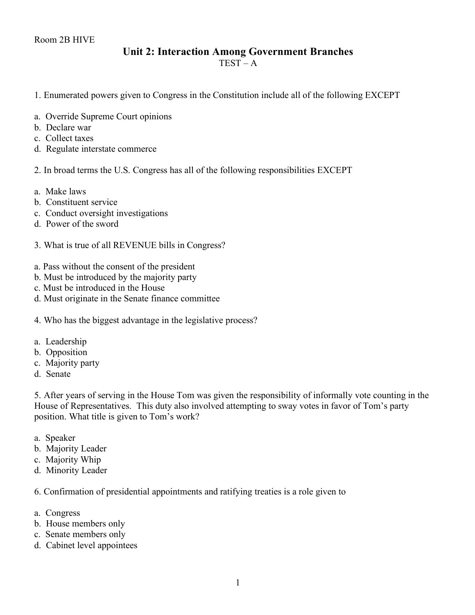## **Unit 2: Interaction Among Government Branches**

 $TEST - A$ 

- 1. Enumerated powers given to Congress in the Constitution include all of the following EXCEPT
- a. Override Supreme Court opinions
- b. Declare war
- c. Collect taxes
- d. Regulate interstate commerce

## 2. In broad terms the U.S. Congress has all of the following responsibilities EXCEPT

- a. Make laws
- b. Constituent service
- c. Conduct oversight investigations
- d. Power of the sword
- 3. What is true of all REVENUE bills in Congress?
- a. Pass without the consent of the president
- b. Must be introduced by the majority party
- c. Must be introduced in the House
- d. Must originate in the Senate finance committee

4. Who has the biggest advantage in the legislative process?

- a. Leadership
- b. Opposition
- c. Majority party
- d. Senate

5. After years of serving in the House Tom was given the responsibility of informally vote counting in the House of Representatives. This duty also involved attempting to sway votes in favor of Tom's party position. What title is given to Tom's work?

- a. Speaker
- b. Majority Leader
- c. Majority Whip
- d. Minority Leader

6. Confirmation of presidential appointments and ratifying treaties is a role given to

- a. Congress
- b. House members only
- c. Senate members only
- d. Cabinet level appointees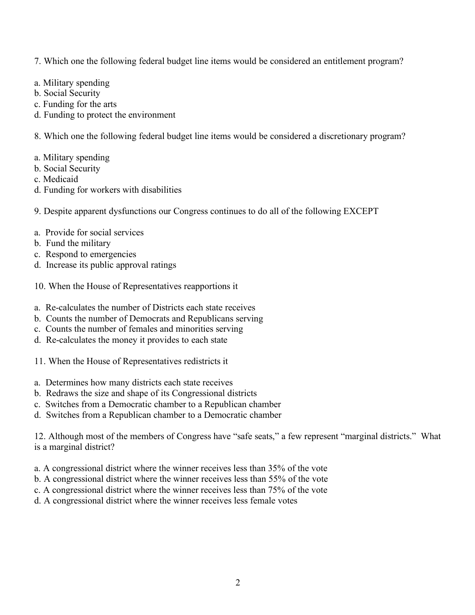- 7. Which one the following federal budget line items would be considered an entitlement program?
- a. Military spending
- b. Social Security
- c. Funding for the arts
- d. Funding to protect the environment

8. Which one the following federal budget line items would be considered a discretionary program?

- a. Military spending
- b. Social Security
- c. Medicaid
- d. Funding for workers with disabilities
- 9. Despite apparent dysfunctions our Congress continues to do all of the following EXCEPT
- a. Provide for social services
- b. Fund the military
- c. Respond to emergencies
- d. Increase its public approval ratings
- 10. When the House of Representatives reapportions it
- a. Re-calculates the number of Districts each state receives
- b. Counts the number of Democrats and Republicans serving
- c. Counts the number of females and minorities serving
- d. Re-calculates the money it provides to each state
- 11. When the House of Representatives redistricts it
- a. Determines how many districts each state receives
- b. Redraws the size and shape of its Congressional districts
- c. Switches from a Democratic chamber to a Republican chamber
- d. Switches from a Republican chamber to a Democratic chamber

12. Although most of the members of Congress have "safe seats," a few represent "marginal districts." What is a marginal district?

- a. A congressional district where the winner receives less than 35% of the vote
- b. A congressional district where the winner receives less than 55% of the vote
- c. A congressional district where the winner receives less than 75% of the vote
- d. A congressional district where the winner receives less female votes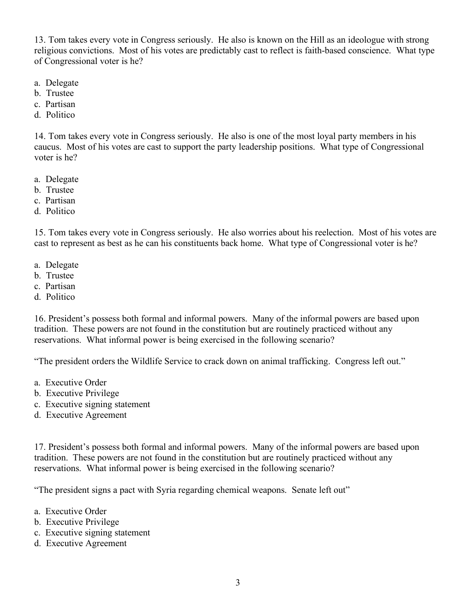13. Tom takes every vote in Congress seriously. He also is known on the Hill as an ideologue with strong religious convictions. Most of his votes are predictably cast to reflect is faith-based conscience. What type of Congressional voter is he?

- a. Delegate
- b. Trustee
- c. Partisan
- d. Politico

14. Tom takes every vote in Congress seriously. He also is one of the most loyal party members in his caucus. Most of his votes are cast to support the party leadership positions. What type of Congressional voter is he?

- a. Delegate
- b. Trustee
- c. Partisan
- d. Politico

15. Tom takes every vote in Congress seriously. He also worries about his reelection. Most of his votes are cast to represent as best as he can his constituents back home. What type of Congressional voter is he?

- a. Delegate
- b. Trustee
- c. Partisan
- d. Politico

16. President's possess both formal and informal powers. Many of the informal powers are based upon tradition. These powers are not found in the constitution but are routinely practiced without any reservations. What informal power is being exercised in the following scenario?

"The president orders the Wildlife Service to crack down on animal trafficking. Congress left out."

- a. Executive Order
- b. Executive Privilege
- c. Executive signing statement
- d. Executive Agreement

17. President's possess both formal and informal powers. Many of the informal powers are based upon tradition. These powers are not found in the constitution but are routinely practiced without any reservations. What informal power is being exercised in the following scenario?

"The president signs a pact with Syria regarding chemical weapons. Senate left out"

- a. Executive Order
- b. Executive Privilege
- c. Executive signing statement
- d. Executive Agreement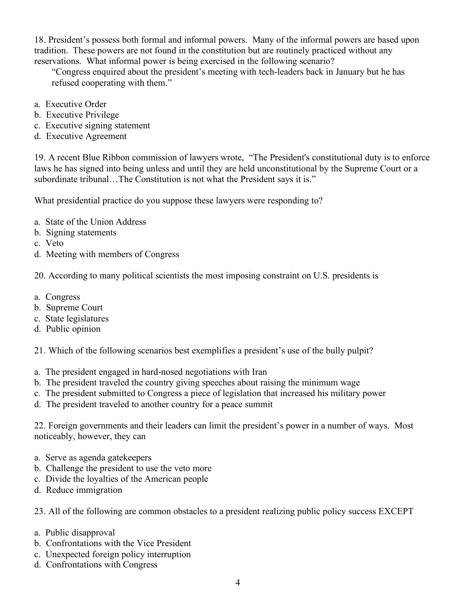18. President's possess both formal and informal powers. Many of the informal powers are based upon tradition. These powers are not found in the constitution but are routinely practiced without any reservations. What informal power is being exercised in the following scenario?

"Congress enquired about the president's meeting with tech-leaders back in January but he has refused cooperating with them."

- a. Executive Order
- b. Executive Privilege
- c. Executive signing statement
- d. Executive Agreement

19. A recent Blue Ribbon commission of lawyers wrote, "The President's constitutional duty is to enforce laws he has signed into being unless and until they are held unconstitutional by the Supreme Court or a subordinate tribunal…The Constitution is not what the President says it is."

What presidential practice do you suppose these lawyers were responding to?

- a. State of the Union Address
- b. Signing statements
- c. Veto
- d. Meeting with members of Congress

20. According to many political scientists the most imposing constraint on U.S. presidents is

- a. Congress
- b. Supreme Court
- c. State legislatures
- d. Public opinion

21. Which of the following scenarios best exemplifies a president's use of the bully pulpit?

- a. The president engaged in hard-nosed negotiations with Iran
- b. The president traveled the country giving speeches about raising the minimum wage
- c. The president submitted to Congress a piece of legislation that increased his military power
- d. The president traveled to another country for a peace summit

22. Foreign governments and their leaders can limit the president's power in a number of ways. Most noticeably, however, they can

- a. Serve as agenda gatekeepers
- b. Challenge the president to use the veto more
- c. Divide the loyalties of the American people
- d. Reduce immigration

23. All of the following are common obstacles to a president realizing public policy success EXCEPT

- a. Public disapproval
- b. Confrontations with the Vice President
- c. Unexpected foreign policy interruption
- d. Confrontations with Congress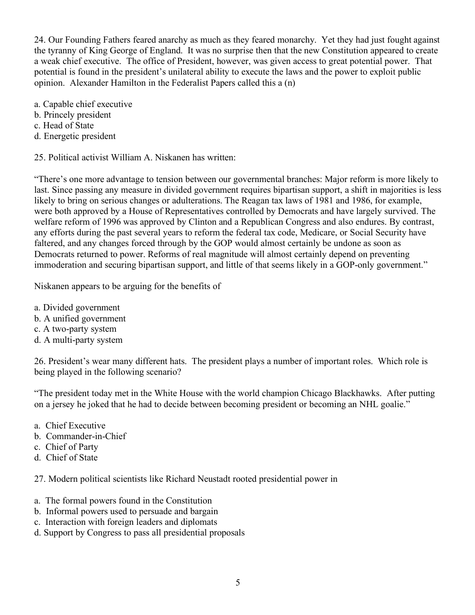24. Our Founding Fathers feared anarchy as much as they feared monarchy. Yet they had just fought against the tyranny of King George of England. It was no surprise then that the new Constitution appeared to create a weak chief executive. The office of President, however, was given access to great potential power. That potential is found in the president's unilateral ability to execute the laws and the power to exploit public opinion. Alexander Hamilton in the Federalist Papers called this a (n)

- a. Capable chief executive
- b. Princely president
- c. Head of State
- d. Energetic president

25. Political activist William A. Niskanen has written:

"There's one more advantage to tension between our governmental branches: Major reform is more likely to last. Since passing any measure in divided government requires bipartisan support, a shift in majorities is less likely to bring on serious changes or adulterations. The Reagan tax laws of 1981 and 1986, for example, were both approved by a House of Representatives controlled by Democrats and have largely survived. The welfare reform of 1996 was approved by Clinton and a Republican Congress and also endures. By contrast, any efforts during the past several years to reform the federal tax code, Medicare, or Social Security have faltered, and any changes forced through by the GOP would almost certainly be undone as soon as Democrats returned to power. Reforms of real magnitude will almost certainly depend on preventing immoderation and securing bipartisan support, and little of that seems likely in a GOP-only government."

Niskanen appears to be arguing for the benefits of

- a. Divided government
- b. A unified government
- c. A two-party system
- d. A multi-party system

26. President's wear many different hats. The president plays a number of important roles. Which role is being played in the following scenario?

"The president today met in the White House with the world champion Chicago Blackhawks. After putting on a jersey he joked that he had to decide between becoming president or becoming an NHL goalie."

- a. Chief Executive
- b. Commander-in-Chief
- c. Chief of Party
- d. Chief of State

27. Modern political scientists like Richard Neustadt rooted presidential power in

- a. The formal powers found in the Constitution
- b. Informal powers used to persuade and bargain
- c. Interaction with foreign leaders and diplomats
- d. Support by Congress to pass all presidential proposals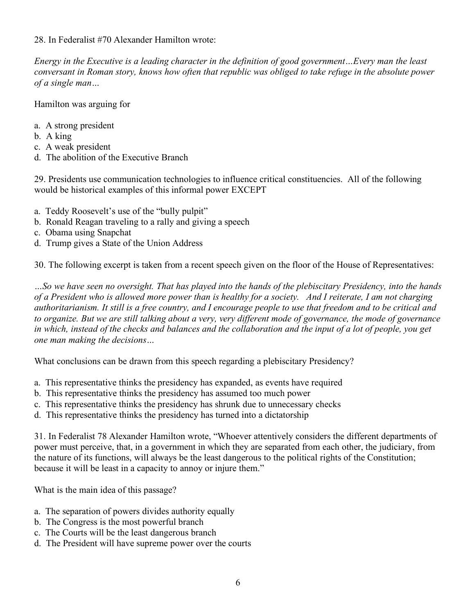28. In Federalist #70 Alexander Hamilton wrote:

*Energy in the Executive is a leading character in the definition of good government…Every man the least conversant in Roman story, knows how often that republic was obliged to take refuge in the absolute power of a single man…*

Hamilton was arguing for

- a. A strong president
- b. A king
- c. A weak president
- d. The abolition of the Executive Branch

29. Presidents use communication technologies to influence critical constituencies. All of the following would be historical examples of this informal power EXCEPT

- a. Teddy Roosevelt's use of the "bully pulpit"
- b. Ronald Reagan traveling to a rally and giving a speech
- c. Obama using Snapchat
- d. Trump gives a State of the Union Address

30. The following excerpt is taken from a recent speech given on the floor of the House of Representatives:

*…So we have seen no oversight. That has played into the hands of the plebiscitary Presidency, into the hands of a President who is allowed more power than is healthy for a society. And I reiterate, I am not charging authoritarianism. It still is a free country, and I encourage people to use that freedom and to be critical and to organize. But we are still talking about a very, very different mode of governance, the mode of governance in which, instead of the checks and balances and the collaboration and the input of a lot of people, you get one man making the decisions…*

What conclusions can be drawn from this speech regarding a plebiscitary Presidency?

- a. This representative thinks the presidency has expanded, as events have required
- b. This representative thinks the presidency has assumed too much power
- c. This representative thinks the presidency has shrunk due to unnecessary checks
- d. This representative thinks the presidency has turned into a dictatorship

31. In Federalist 78 Alexander Hamilton wrote, "Whoever attentively considers the different departments of power must perceive, that, in a government in which they are separated from each other, the judiciary, from the nature of its functions, will always be the least dangerous to the political rights of the Constitution; because it will be least in a capacity to annoy or injure them."

What is the main idea of this passage?

- a. The separation of powers divides authority equally
- b. The Congress is the most powerful branch
- c. The Courts will be the least dangerous branch
- d. The President will have supreme power over the courts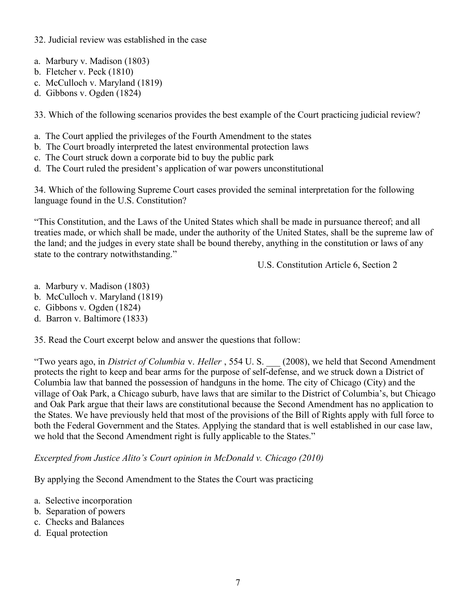## 32. Judicial review was established in the case

- a. Marbury v. Madison (1803)
- b. Fletcher v. Peck (1810)
- c. McCulloch v. Maryland (1819)
- d. Gibbons v. Ogden (1824)

33. Which of the following scenarios provides the best example of the Court practicing judicial review?

- a. The Court applied the privileges of the Fourth Amendment to the states
- b. The Court broadly interpreted the latest environmental protection laws
- c. The Court struck down a corporate bid to buy the public park
- d. The Court ruled the president's application of war powers unconstitutional

34. Which of the following Supreme Court cases provided the seminal interpretation for the following language found in the U.S. Constitution?

"This Constitution, and the Laws of the United States which shall be made in pursuance thereof; and all treaties made, or which shall be made, under the authority of the United States, shall be the supreme law of the land; and the judges in every state shall be bound thereby, anything in the constitution or laws of any state to the contrary notwithstanding."

U.S. Constitution Article 6, Section 2

- a. Marbury v. Madison (1803)
- b. McCulloch v. Maryland (1819)
- c. Gibbons v. Ogden (1824)
- d. Barron v. Baltimore (1833)

35. Read the Court excerpt below and answer the questions that follow:

"Two years ago, in *District of Columbia* v. *Heller* , 554 U. S. \_\_\_ (2008), we held that Second Amendment protects the right to keep and bear arms for the purpose of self-defense, and we struck down a District of Columbia law that banned the possession of handguns in the home. The city of Chicago (City) and the village of Oak Park, a Chicago suburb, have laws that are similar to the District of Columbia's, but Chicago and Oak Park argue that their laws are constitutional because the Second Amendment has no application to the States. We have previously held that most of the provisions of the Bill of Rights apply with full force to both the Federal Government and the States. Applying the standard that is well established in our case law, we hold that the Second Amendment right is fully applicable to the States."

*Excerpted from Justice Alito's Court opinion in McDonald v. Chicago (2010)*

By applying the Second Amendment to the States the Court was practicing

- a. Selective incorporation
- b. Separation of powers
- c. Checks and Balances
- d. Equal protection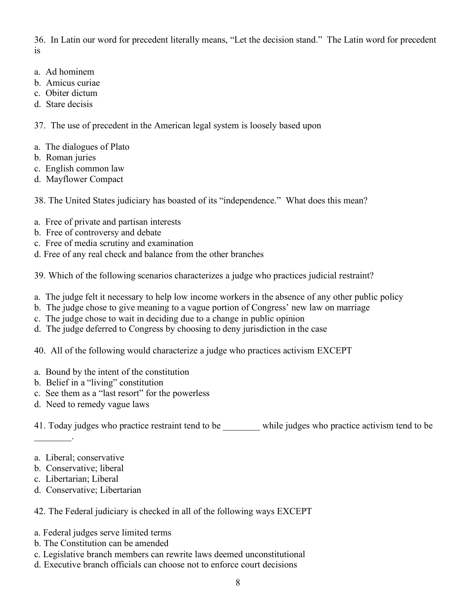36. In Latin our word for precedent literally means, "Let the decision stand." The Latin word for precedent is

- a. Ad hominem
- b. Amicus curiae
- c. Obiter dictum
- d. Stare decisis

37. The use of precedent in the American legal system is loosely based upon

- a. The dialogues of Plato
- b. Roman juries
- c. English common law
- d. Mayflower Compact

38. The United States judiciary has boasted of its "independence." What does this mean?

- a. Free of private and partisan interests
- b. Free of controversy and debate
- c. Free of media scrutiny and examination
- d. Free of any real check and balance from the other branches

39. Which of the following scenarios characterizes a judge who practices judicial restraint?

- a. The judge felt it necessary to help low income workers in the absence of any other public policy
- b. The judge chose to give meaning to a vague portion of Congress' new law on marriage
- c. The judge chose to wait in deciding due to a change in public opinion
- d. The judge deferred to Congress by choosing to deny jurisdiction in the case
- 40. All of the following would characterize a judge who practices activism EXCEPT
- a. Bound by the intent of the constitution
- b. Belief in a "living" constitution
- c. See them as a "last resort" for the powerless
- d. Need to remedy vague laws

41. Today judges who practice restraint tend to be \_\_\_\_\_\_\_\_ while judges who practice activism tend to be

a. Liberal; conservative

 $\mathcal{L}=\mathcal{L}^{\mathcal{L}}$ 

- b. Conservative; liberal
- c. Libertarian; Liberal
- d. Conservative; Libertarian

42. The Federal judiciary is checked in all of the following ways EXCEPT

- a. Federal judges serve limited terms
- b. The Constitution can be amended
- c. Legislative branch members can rewrite laws deemed unconstitutional
- d. Executive branch officials can choose not to enforce court decisions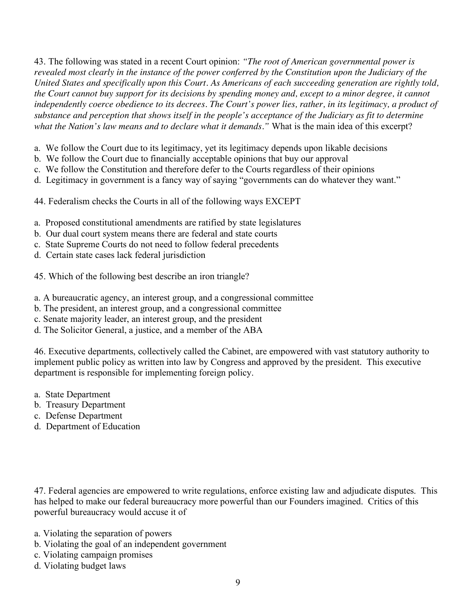43. The following was stated in a recent Court opinion: *"The root of American governmental power is revealed most clearly in the instance of the power conferred by the Constitution upon the Judiciary of the United States and specifically upon this Court. As Americans of each succeeding generation are rightly told, the Court cannot buy support for its decisions by spending money and, except to a minor degree, it cannot independently coerce obedience to its decrees. The Court's power lies, rather, in its legitimacy, a product of substance and perception that shows itself in the people's acceptance of the Judiciary as fit to determine what the Nation's law means and to declare what it demands."* What is the main idea of this excerpt?

- a. We follow the Court due to its legitimacy, yet its legitimacy depends upon likable decisions
- b. We follow the Court due to financially acceptable opinions that buy our approval
- c. We follow the Constitution and therefore defer to the Courts regardless of their opinions
- d. Legitimacy in government is a fancy way of saying "governments can do whatever they want."
- 44. Federalism checks the Courts in all of the following ways EXCEPT
- a. Proposed constitutional amendments are ratified by state legislatures
- b. Our dual court system means there are federal and state courts
- c. State Supreme Courts do not need to follow federal precedents
- d. Certain state cases lack federal jurisdiction
- 45. Which of the following best describe an iron triangle?
- a. A bureaucratic agency, an interest group, and a congressional committee
- b. The president, an interest group, and a congressional committee
- c. Senate majority leader, an interest group, and the president
- d. The Solicitor General, a justice, and a member of the ABA

46. Executive departments, collectively called the Cabinet, are empowered with vast statutory authority to implement public policy as written into law by Congress and approved by the president. This executive department is responsible for implementing foreign policy.

- a. State Department
- b. Treasury Department
- c. Defense Department
- d. Department of Education

47. Federal agencies are empowered to write regulations, enforce existing law and adjudicate disputes. This has helped to make our federal bureaucracy more powerful than our Founders imagined. Critics of this powerful bureaucracy would accuse it of

- a. Violating the separation of powers
- b. Violating the goal of an independent government
- c. Violating campaign promises
- d. Violating budget laws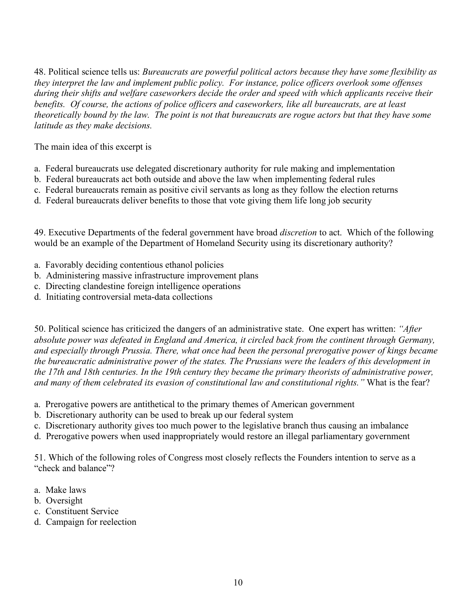48. Political science tells us: *Bureaucrats are powerful political actors because they have some flexibility as they interpret the law and implement public policy. For instance, police officers overlook some offenses during their shifts and welfare caseworkers decide the order and speed with which applicants receive their benefits. Of course, the actions of police officers and caseworkers, like all bureaucrats, are at least theoretically bound by the law. The point is not that bureaucrats are rogue actors but that they have some latitude as they make decisions.*

The main idea of this excerpt is

- a. Federal bureaucrats use delegated discretionary authority for rule making and implementation
- b. Federal bureaucrats act both outside and above the law when implementing federal rules
- c. Federal bureaucrats remain as positive civil servants as long as they follow the election returns
- d. Federal bureaucrats deliver benefits to those that vote giving them life long job security

49. Executive Departments of the federal government have broad *discretion* to act. Which of the following would be an example of the Department of Homeland Security using its discretionary authority?

- a. Favorably deciding contentious ethanol policies
- b. Administering massive infrastructure improvement plans
- c. Directing clandestine foreign intelligence operations
- d. Initiating controversial meta-data collections

50. Political science has criticized the dangers of an administrative state. One expert has written: *"After absolute power was defeated in England and America, it circled back from the continent through Germany, and especially through Prussia. There, what once had been the personal prerogative power of kings became the bureaucratic administrative power of the states. The Prussians were the leaders of this development in the 17th and 18th centuries. In the 19th century they became the primary theorists of administrative power, and many of them celebrated its evasion of constitutional law and constitutional rights."* What is the fear?

- a. Prerogative powers are antithetical to the primary themes of American government
- b. Discretionary authority can be used to break up our federal system
- c. Discretionary authority gives too much power to the legislative branch thus causing an imbalance
- d. Prerogative powers when used inappropriately would restore an illegal parliamentary government

51. Which of the following roles of Congress most closely reflects the Founders intention to serve as a "check and balance"?

- a. Make laws
- b. Oversight
- c. Constituent Service
- d. Campaign for reelection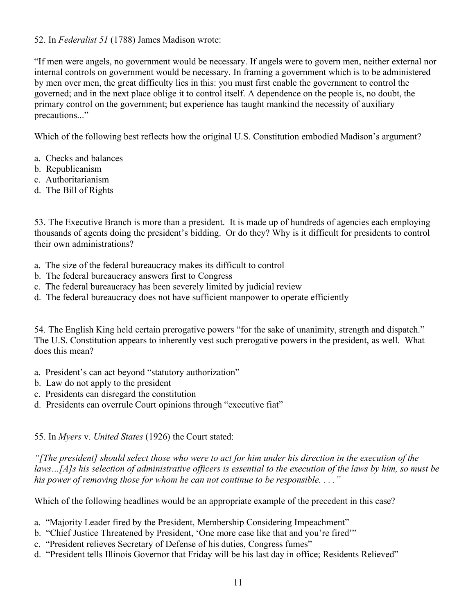## 52. In *Federalist 51* (1788) James Madison wrote:

"If men were angels, no government would be necessary. If angels were to govern men, neither external nor internal controls on government would be necessary. In framing a government which is to be administered by men over men, the great difficulty lies in this: you must first enable the government to control the governed; and in the next place oblige it to control itself. A dependence on the people is, no doubt, the primary control on the government; but experience has taught mankind the necessity of auxiliary precautions..."

Which of the following best reflects how the original U.S. Constitution embodied Madison's argument?

- a. Checks and balances
- b. Republicanism
- c. Authoritarianism
- d. The Bill of Rights

53. The Executive Branch is more than a president. It is made up of hundreds of agencies each employing thousands of agents doing the president's bidding. Or do they? Why is it difficult for presidents to control their own administrations?

- a. The size of the federal bureaucracy makes its difficult to control
- b. The federal bureaucracy answers first to Congress
- c. The federal bureaucracy has been severely limited by judicial review
- d. The federal bureaucracy does not have sufficient manpower to operate efficiently

54. The English King held certain prerogative powers "for the sake of unanimity, strength and dispatch." The U.S. Constitution appears to inherently vest such prerogative powers in the president, as well. What does this mean?

- a. President's can act beyond "statutory authorization"
- b. Law do not apply to the president
- c. Presidents can disregard the constitution
- d. Presidents can overrule Court opinions through "executive fiat"

55. In *Myers* v. *United States* (1926) the Court stated:

*"[The president] should select those who were to act for him under his direction in the execution of the*  laws...[A]s his selection of administrative officers is essential to the execution of the laws by him, so must be *his power of removing those for whom he can not continue to be responsible. . . ."*

Which of the following headlines would be an appropriate example of the precedent in this case?

- a. "Majority Leader fired by the President, Membership Considering Impeachment"
- b. "Chief Justice Threatened by President, 'One more case like that and you're fired'"
- c. "President relieves Secretary of Defense of his duties, Congress fumes"
- d. "President tells Illinois Governor that Friday will be his last day in office; Residents Relieved"